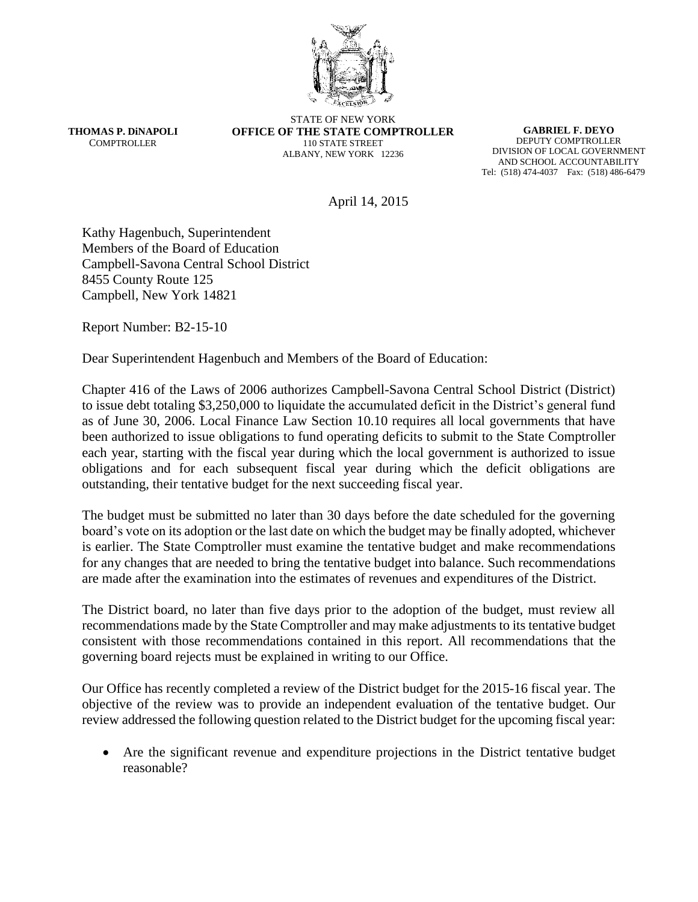

**THOMAS P. DiNAPOLI COMPTROLLER** 

STATE OF NEW YORK **OFFICE OF THE STATE COMPTROLLER** 110 STATE STREET ALBANY, NEW YORK 12236

**GABRIEL F. DEYO** DEPUTY COMPTROLLER DIVISION OF LOCAL GOVERNMENT AND SCHOOL ACCOUNTABILITY Tel: (518) 474-4037 Fax: (518) 486-6479

April 14, 2015

Kathy Hagenbuch, Superintendent Members of the Board of Education Campbell-Savona Central School District 8455 County Route 125 Campbell, New York 14821

Report Number: B2-15-10

Dear Superintendent Hagenbuch and Members of the Board of Education:

Chapter 416 of the Laws of 2006 authorizes Campbell-Savona Central School District (District) to issue debt totaling \$3,250,000 to liquidate the accumulated deficit in the District's general fund as of June 30, 2006. Local Finance Law Section 10.10 requires all local governments that have been authorized to issue obligations to fund operating deficits to submit to the State Comptroller each year, starting with the fiscal year during which the local government is authorized to issue obligations and for each subsequent fiscal year during which the deficit obligations are outstanding, their tentative budget for the next succeeding fiscal year.

The budget must be submitted no later than 30 days before the date scheduled for the governing board's vote on its adoption or the last date on which the budget may be finally adopted, whichever is earlier. The State Comptroller must examine the tentative budget and make recommendations for any changes that are needed to bring the tentative budget into balance. Such recommendations are made after the examination into the estimates of revenues and expenditures of the District.

The District board, no later than five days prior to the adoption of the budget, must review all recommendations made by the State Comptroller and may make adjustments to its tentative budget consistent with those recommendations contained in this report. All recommendations that the governing board rejects must be explained in writing to our Office.

Our Office has recently completed a review of the District budget for the 2015-16 fiscal year. The objective of the review was to provide an independent evaluation of the tentative budget. Our review addressed the following question related to the District budget for the upcoming fiscal year:

 Are the significant revenue and expenditure projections in the District tentative budget reasonable?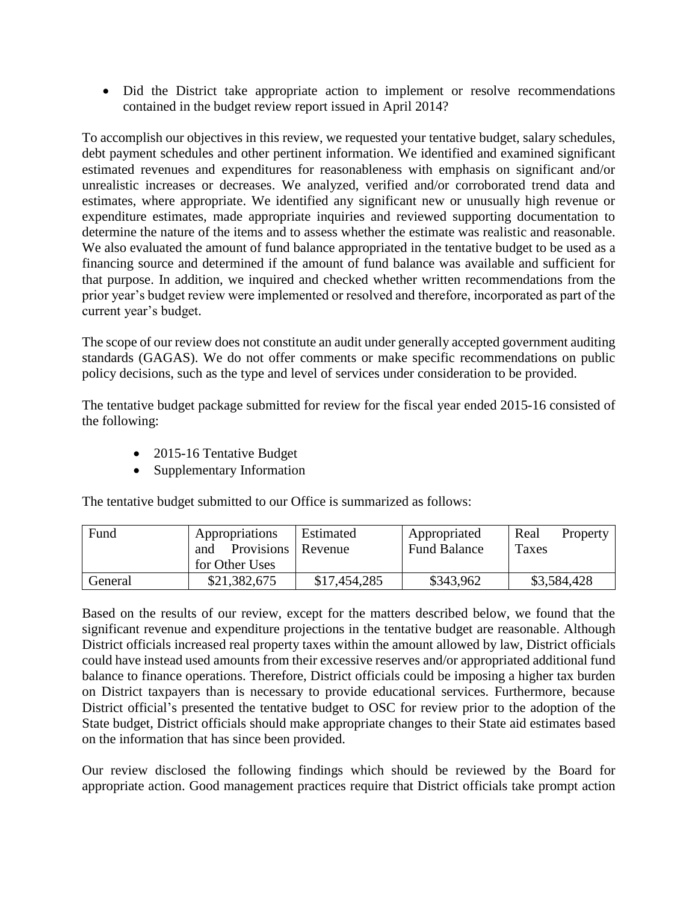Did the District take appropriate action to implement or resolve recommendations contained in the budget review report issued in April 2014?

To accomplish our objectives in this review, we requested your tentative budget, salary schedules, debt payment schedules and other pertinent information. We identified and examined significant estimated revenues and expenditures for reasonableness with emphasis on significant and/or unrealistic increases or decreases. We analyzed, verified and/or corroborated trend data and estimates, where appropriate. We identified any significant new or unusually high revenue or expenditure estimates, made appropriate inquiries and reviewed supporting documentation to determine the nature of the items and to assess whether the estimate was realistic and reasonable. We also evaluated the amount of fund balance appropriated in the tentative budget to be used as a financing source and determined if the amount of fund balance was available and sufficient for that purpose. In addition, we inquired and checked whether written recommendations from the prior year's budget review were implemented or resolved and therefore, incorporated as part of the current year's budget.

The scope of our review does not constitute an audit under generally accepted government auditing standards (GAGAS). We do not offer comments or make specific recommendations on public policy decisions, such as the type and level of services under consideration to be provided.

The tentative budget package submitted for review for the fiscal year ended 2015-16 consisted of the following:

- 2015-16 Tentative Budget
- Supplementary Information

The tentative budget submitted to our Office is summarized as follows:

| Fund    | Appropriations<br>Provisions   Revenue<br>and | Estimated    | Appropriated<br><b>Fund Balance</b> | Real<br>Property<br>Taxes |
|---------|-----------------------------------------------|--------------|-------------------------------------|---------------------------|
|         | for Other Uses                                |              |                                     |                           |
| General | \$21,382,675                                  | \$17,454,285 | \$343,962                           | \$3,584,428               |

Based on the results of our review, except for the matters described below, we found that the significant revenue and expenditure projections in the tentative budget are reasonable. Although District officials increased real property taxes within the amount allowed by law, District officials could have instead used amounts from their excessive reserves and/or appropriated additional fund balance to finance operations. Therefore, District officials could be imposing a higher tax burden on District taxpayers than is necessary to provide educational services. Furthermore, because District official's presented the tentative budget to OSC for review prior to the adoption of the State budget, District officials should make appropriate changes to their State aid estimates based on the information that has since been provided.

Our review disclosed the following findings which should be reviewed by the Board for appropriate action. Good management practices require that District officials take prompt action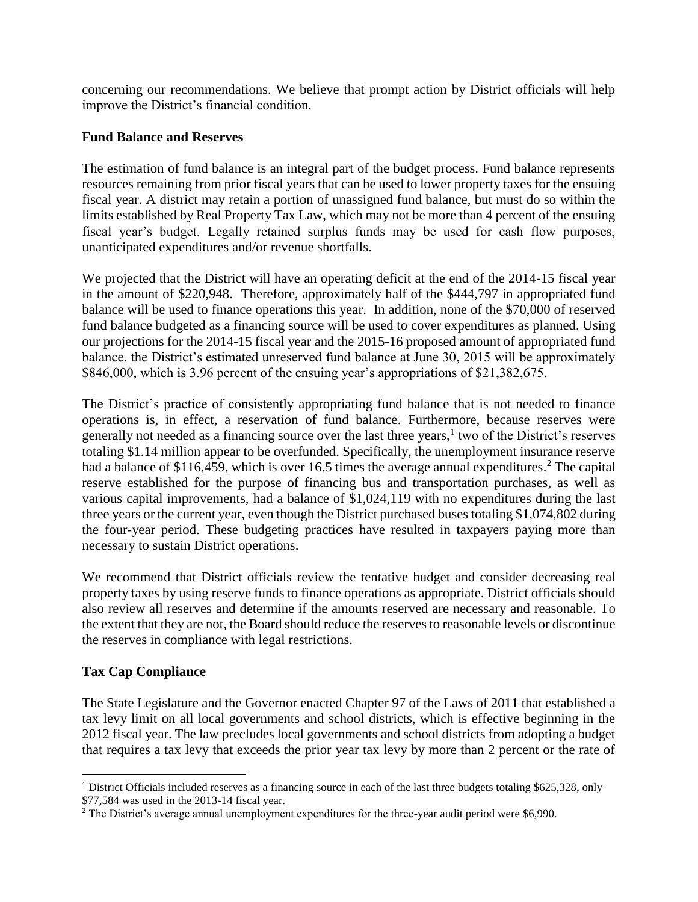concerning our recommendations. We believe that prompt action by District officials will help improve the District's financial condition.

## **Fund Balance and Reserves**

The estimation of fund balance is an integral part of the budget process. Fund balance represents resources remaining from prior fiscal years that can be used to lower property taxes for the ensuing fiscal year. A district may retain a portion of unassigned fund balance, but must do so within the limits established by Real Property Tax Law, which may not be more than 4 percent of the ensuing fiscal year's budget. Legally retained surplus funds may be used for cash flow purposes, unanticipated expenditures and/or revenue shortfalls.

We projected that the District will have an operating deficit at the end of the 2014-15 fiscal year in the amount of \$220,948. Therefore, approximately half of the \$444,797 in appropriated fund balance will be used to finance operations this year. In addition, none of the \$70,000 of reserved fund balance budgeted as a financing source will be used to cover expenditures as planned. Using our projections for the 2014-15 fiscal year and the 2015-16 proposed amount of appropriated fund balance, the District's estimated unreserved fund balance at June 30, 2015 will be approximately \$846,000, which is 3.96 percent of the ensuing year's appropriations of \$21,382,675.

The District's practice of consistently appropriating fund balance that is not needed to finance operations is, in effect, a reservation of fund balance. Furthermore, because reserves were generally not needed as a financing source over the last three years, 1 two of the District's reserves totaling \$1.14 million appear to be overfunded. Specifically, the unemployment insurance reserve had a balance of \$116,459, which is over 16.5 times the average annual expenditures.<sup>2</sup> The capital reserve established for the purpose of financing bus and transportation purchases, as well as various capital improvements, had a balance of \$1,024,119 with no expenditures during the last three years or the current year, even though the District purchased buses totaling \$1,074,802 during the four-year period. These budgeting practices have resulted in taxpayers paying more than necessary to sustain District operations.

We recommend that District officials review the tentative budget and consider decreasing real property taxes by using reserve funds to finance operations as appropriate. District officials should also review all reserves and determine if the amounts reserved are necessary and reasonable. To the extent that they are not, the Board should reduce the reserves to reasonable levels or discontinue the reserves in compliance with legal restrictions.

## **Tax Cap Compliance**

 $\overline{a}$ 

The State Legislature and the Governor enacted Chapter 97 of the Laws of 2011 that established a tax levy limit on all local governments and school districts, which is effective beginning in the 2012 fiscal year. The law precludes local governments and school districts from adopting a budget that requires a tax levy that exceeds the prior year tax levy by more than 2 percent or the rate of

<sup>&</sup>lt;sup>1</sup> District Officials included reserves as a financing source in each of the last three budgets totaling \$625,328, only \$77,584 was used in the 2013-14 fiscal year.

<sup>&</sup>lt;sup>2</sup> The District's average annual unemployment expenditures for the three-year audit period were \$6,990.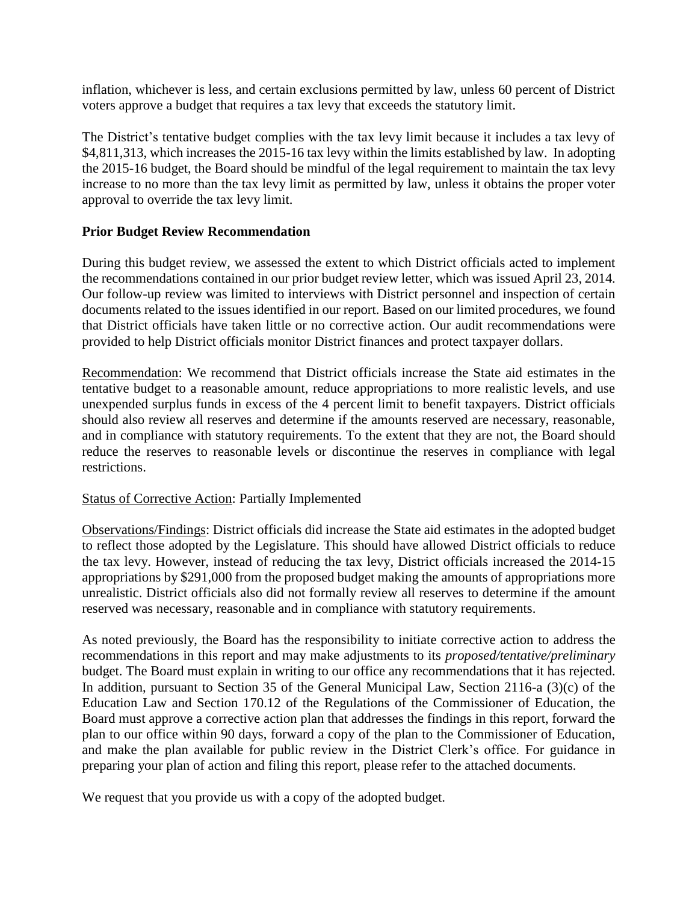inflation, whichever is less, and certain exclusions permitted by law, unless 60 percent of District voters approve a budget that requires a tax levy that exceeds the statutory limit.

The District's tentative budget complies with the tax levy limit because it includes a tax levy of \$4,811,313, which increases the 2015-16 tax levy within the limits established by law. In adopting the 2015-16 budget, the Board should be mindful of the legal requirement to maintain the tax levy increase to no more than the tax levy limit as permitted by law, unless it obtains the proper voter approval to override the tax levy limit.

## **Prior Budget Review Recommendation**

During this budget review, we assessed the extent to which District officials acted to implement the recommendations contained in our prior budget review letter, which was issued April 23, 2014. Our follow-up review was limited to interviews with District personnel and inspection of certain documents related to the issues identified in our report. Based on our limited procedures, we found that District officials have taken little or no corrective action. Our audit recommendations were provided to help District officials monitor District finances and protect taxpayer dollars.

Recommendation: We recommend that District officials increase the State aid estimates in the tentative budget to a reasonable amount, reduce appropriations to more realistic levels, and use unexpended surplus funds in excess of the 4 percent limit to benefit taxpayers. District officials should also review all reserves and determine if the amounts reserved are necessary, reasonable, and in compliance with statutory requirements. To the extent that they are not, the Board should reduce the reserves to reasonable levels or discontinue the reserves in compliance with legal restrictions.

## Status of Corrective Action: Partially Implemented

Observations/Findings: District officials did increase the State aid estimates in the adopted budget to reflect those adopted by the Legislature. This should have allowed District officials to reduce the tax levy. However, instead of reducing the tax levy, District officials increased the 2014-15 appropriations by \$291,000 from the proposed budget making the amounts of appropriations more unrealistic. District officials also did not formally review all reserves to determine if the amount reserved was necessary, reasonable and in compliance with statutory requirements.

As noted previously, the Board has the responsibility to initiate corrective action to address the recommendations in this report and may make adjustments to its *proposed/tentative/preliminary* budget. The Board must explain in writing to our office any recommendations that it has rejected. In addition, pursuant to Section 35 of the General Municipal Law, Section 2116-a (3)(c) of the Education Law and Section 170.12 of the Regulations of the Commissioner of Education, the Board must approve a corrective action plan that addresses the findings in this report, forward the plan to our office within 90 days, forward a copy of the plan to the Commissioner of Education, and make the plan available for public review in the District Clerk's office. For guidance in preparing your plan of action and filing this report, please refer to the attached documents.

We request that you provide us with a copy of the adopted budget.